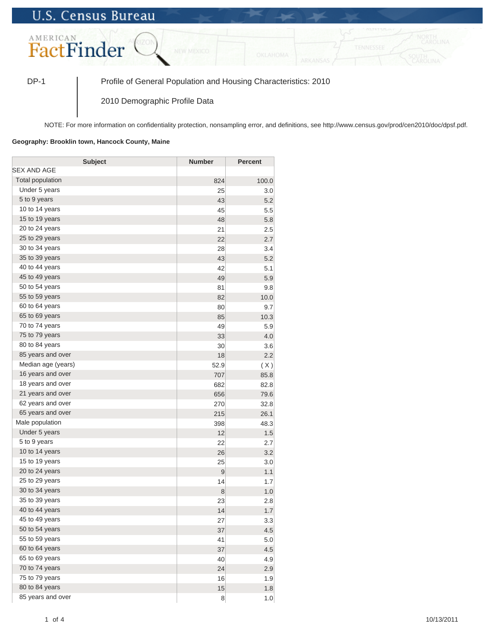## **U.S. Census Bureau**



DP-1 Profile of General Population and Housing Characteristics: 2010

2010 Demographic Profile Data

NOTE: For more information on confidentiality protection, nonsampling error, and definitions, see http://www.census.gov/prod/cen2010/doc/dpsf.pdf.

## **Geography: Brooklin town, Hancock County, Maine**

| <b>Subject</b>     | <b>Number</b> | <b>Percent</b> |
|--------------------|---------------|----------------|
| SEX AND AGE        |               |                |
| Total population   | 824           | 100.0          |
| Under 5 years      | 25            | 3.0            |
| 5 to 9 years       | 43            | 5.2            |
| 10 to 14 years     | 45            | 5.5            |
| 15 to 19 years     | 48            | 5.8            |
| 20 to 24 years     | 21            | 2.5            |
| 25 to 29 years     | 22            | 2.7            |
| 30 to 34 years     | 28            | 3.4            |
| 35 to 39 years     | 43            | 5.2            |
| 40 to 44 years     | 42            | 5.1            |
| 45 to 49 years     | 49            | 5.9            |
| 50 to 54 years     | 81            | 9.8            |
| 55 to 59 years     | 82            | 10.0           |
| 60 to 64 years     | 80            | 9.7            |
| 65 to 69 years     | 85            | 10.3           |
| 70 to 74 years     | 49            | 5.9            |
| 75 to 79 years     | 33            | 4.0            |
| 80 to 84 years     | 30            | 3.6            |
| 85 years and over  | 18            | 2.2            |
| Median age (years) | 52.9          | (X)            |
| 16 years and over  | 707           | 85.8           |
| 18 years and over  | 682           | 82.8           |
| 21 years and over  | 656           | 79.6           |
| 62 years and over  | 270           | 32.8           |
| 65 years and over  | 215           | 26.1           |
| Male population    | 398           | 48.3           |
| Under 5 years      | 12            | 1.5            |
| 5 to 9 years       | 22            | 2.7            |
| 10 to 14 years     | 26            | 3.2            |
| 15 to 19 years     | 25            | 3.0            |
| 20 to 24 years     | 9             | 1.1            |
| 25 to 29 years     | 14            | 1.7            |
| 30 to 34 years     | 8             | 1.0            |
| 35 to 39 years     | 23            | 2.8            |
| 40 to 44 years     | 14            | 1.7            |
| 45 to 49 years     | 27            | 3.3            |
| 50 to 54 years     | 37            | 4.5            |
| 55 to 59 years     | 41            | 5.0            |
| 60 to 64 years     | 37            | 4.5            |
| 65 to 69 years     | 40            | 4.9            |
| 70 to 74 years     | 24            | 2.9            |
| 75 to 79 years     | 16            | 1.9            |
| 80 to 84 years     | 15            | 1.8            |
| 85 years and over  | 8             | 1.0            |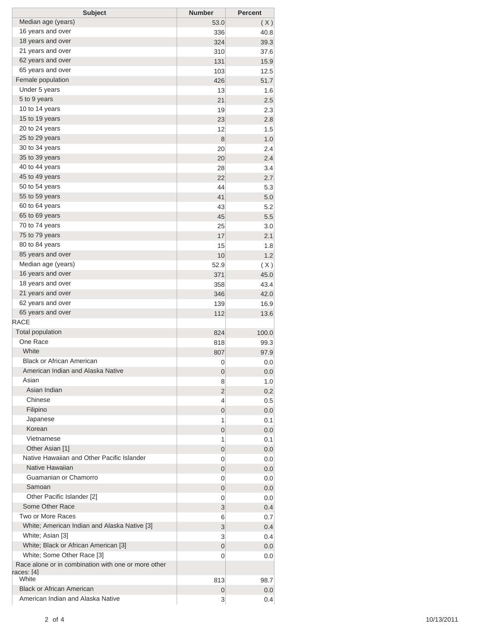| <b>Subject</b>                                                    | <b>Number</b> | <b>Percent</b> |
|-------------------------------------------------------------------|---------------|----------------|
| Median age (years)                                                | 53.0          | (X)            |
| 16 years and over                                                 | 336           | 40.8           |
| 18 years and over                                                 | 324           | 39.3           |
| 21 years and over                                                 | 310           | 37.6           |
| 62 years and over                                                 | 131           | 15.9           |
| 65 years and over                                                 | 103           | 12.5           |
| Female population                                                 | 426           | 51.7           |
| Under 5 years                                                     | 13            | 1.6            |
| 5 to 9 years                                                      | 21            | 2.5            |
| 10 to 14 years                                                    | 19            | 2.3            |
| 15 to 19 years                                                    | 23            | 2.8            |
| 20 to 24 years                                                    | 12            | 1.5            |
| 25 to 29 years                                                    | 8             | 1.0            |
| 30 to 34 years                                                    | 20            | 2.4            |
| 35 to 39 years                                                    | 20            | 2.4            |
| 40 to 44 years                                                    | 28            | 3.4            |
| 45 to 49 years                                                    | 22            | 2.7            |
| 50 to 54 years                                                    | 44            | 5.3            |
| 55 to 59 years                                                    | 41            | 5.0            |
| 60 to 64 years                                                    | 43            | 5.2            |
| 65 to 69 years                                                    | 45            | 5.5            |
| 70 to 74 years                                                    | 25            | 3.0            |
| 75 to 79 years                                                    | 17            | 2.1            |
| 80 to 84 years                                                    | 15            | 1.8            |
| 85 years and over                                                 | 10            | 1.2            |
| Median age (years)                                                | 52.9          | (X)            |
| 16 years and over                                                 | 371           | 45.0           |
| 18 years and over                                                 | 358           | 43.4           |
| 21 years and over                                                 | 346           | 42.0           |
| 62 years and over                                                 | 139           | 16.9           |
| 65 years and over                                                 | 112           | 13.6           |
| <b>RACE</b>                                                       |               |                |
| <b>Total population</b>                                           | 824           | 100.0          |
| One Race                                                          | 818           | 99.3           |
| White                                                             | 807           | 97.9           |
| <b>Black or African American</b>                                  | 0             | 0.0            |
| American Indian and Alaska Native                                 | 0             | 0.0            |
| Asian                                                             | 8             | 1.0            |
| Asian Indian                                                      | 2             | 0.2            |
| Chinese                                                           | 4             | 0.5            |
| Filipino                                                          | 0             | 0.0            |
| Japanese                                                          | 1             | 0.1            |
| Korean                                                            | 0             | 0.0            |
| Vietnamese                                                        | 1             | 0.1            |
| Other Asian [1]                                                   | 0             | 0.0            |
| Native Hawaiian and Other Pacific Islander                        | 0             | 0.0            |
| Native Hawaiian                                                   | 0             | 0.0            |
| Guamanian or Chamorro                                             | 0             | 0.0            |
| Samoan                                                            | 0             | 0.0            |
| Other Pacific Islander [2]                                        | 0             | 0.0            |
| Some Other Race                                                   | 3             | 0.4            |
| Two or More Races                                                 | 6             | 0.7            |
| White; American Indian and Alaska Native [3]                      | 3             | 0.4            |
| White; Asian [3]                                                  | 3             | 0.4            |
| White; Black or African American [3]                              | 0             | 0.0            |
| White; Some Other Race [3]                                        | 0             | 0.0            |
| Race alone or in combination with one or more other<br>races: [4] |               |                |
| White                                                             | 813           | 98.7           |
| <b>Black or African American</b>                                  | 0             | 0.0            |
| American Indian and Alaska Native                                 | 3             | 0.4            |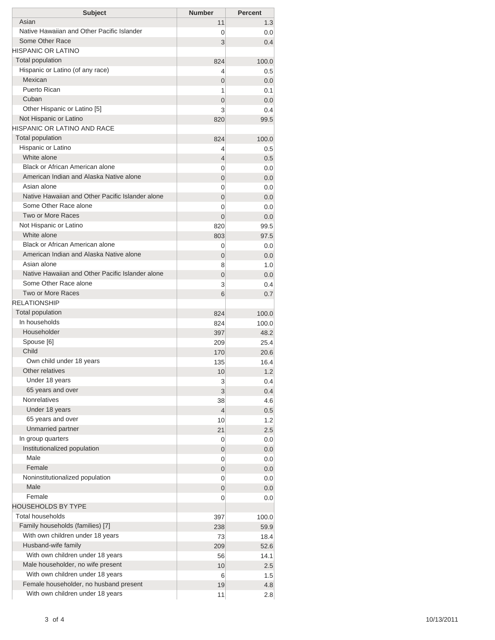| Asian<br>11<br>1.3<br>Native Hawaiian and Other Pacific Islander<br>0.0<br>0<br>Some Other Race<br>3<br>0.4<br><b>Total population</b><br>824<br>100.0<br>Hispanic or Latino (of any race)<br>0.5<br>4<br>Mexican<br>0<br>0.0<br>Puerto Rican<br>1<br>0.1<br>Cuban<br>$\overline{0}$<br>0.0<br>Other Hispanic or Latino [5]<br>3<br>0.4<br>Not Hispanic or Latino<br>820<br>99.5<br><b>Total population</b><br>824<br>100.0<br>Hispanic or Latino<br>0.5<br>4<br>White alone<br>0.5<br>4<br>Black or African American alone<br>0<br>0.0<br>American Indian and Alaska Native alone<br>$\overline{0}$<br>0.0<br>Asian alone<br>0<br>0.0<br>Native Hawaiian and Other Pacific Islander alone<br>$\overline{0}$<br>0.0<br>Some Other Race alone<br>0<br>0.0<br>Two or More Races<br>$\Omega$<br>0.0<br>Not Hispanic or Latino<br>820<br>99.5<br>White alone<br>97.5<br>803<br>Black or African American alone<br>0<br>0.0<br>American Indian and Alaska Native alone<br>0.0<br>0<br>Asian alone<br>8<br>1.0<br>Native Hawaiian and Other Pacific Islander alone<br>$\overline{0}$<br>0.0<br>Some Other Race alone<br>3<br>0.4<br>Two or More Races<br>6<br>0.7<br>Total population<br>824<br>100.0<br>In households<br>824<br>100.0<br>Householder<br>48.2<br>397<br>Spouse [6]<br>25.4<br>209<br>Child<br>20.6<br>170<br>Own child under 18 years<br>135<br>16.4<br>Other relatives<br>10<br>1.2<br>Under 18 years<br>3<br>0.4<br>65 years and over<br>3<br>0.4<br><b>Nonrelatives</b><br>38<br>4.6<br>Under 18 years<br>$\overline{4}$<br>0.5<br>65 years and over<br>1.2<br>10<br>Unmarried partner<br>2.5<br>21<br>In group quarters<br>0.0<br>0<br>Institutionalized population<br>$\mathbf 0$<br>0.0<br>Male<br>0<br>0.0<br>Female<br>0<br>0.0<br>Noninstitutionalized population<br>0<br>0.0<br>Male<br>0<br>0.0<br>Female<br>0<br>0.0<br><b>HOUSEHOLDS BY TYPE</b><br><b>Total households</b><br>397<br>100.0<br>Family households (families) [7]<br>59.9<br>238<br>With own children under 18 years<br>73<br>18.4<br>Husband-wife family<br>209<br>52.6<br>With own children under 18 years<br>56<br>14.1<br>Male householder, no wife present<br>10<br>2.5 | HISPANIC OR LATINO<br><b>HISPANIC OR LATINO AND RACE</b><br><b>RELATIONSHIP</b> |     |
|-------------------------------------------------------------------------------------------------------------------------------------------------------------------------------------------------------------------------------------------------------------------------------------------------------------------------------------------------------------------------------------------------------------------------------------------------------------------------------------------------------------------------------------------------------------------------------------------------------------------------------------------------------------------------------------------------------------------------------------------------------------------------------------------------------------------------------------------------------------------------------------------------------------------------------------------------------------------------------------------------------------------------------------------------------------------------------------------------------------------------------------------------------------------------------------------------------------------------------------------------------------------------------------------------------------------------------------------------------------------------------------------------------------------------------------------------------------------------------------------------------------------------------------------------------------------------------------------------------------------------------------------------------------------------------------------------------------------------------------------------------------------------------------------------------------------------------------------------------------------------------------------------------------------------------------------------------------------------------------------------------------------------------------------------------------------------------------------------------------------------------------------------------------------|---------------------------------------------------------------------------------|-----|
|                                                                                                                                                                                                                                                                                                                                                                                                                                                                                                                                                                                                                                                                                                                                                                                                                                                                                                                                                                                                                                                                                                                                                                                                                                                                                                                                                                                                                                                                                                                                                                                                                                                                                                                                                                                                                                                                                                                                                                                                                                                                                                                                                                   |                                                                                 |     |
|                                                                                                                                                                                                                                                                                                                                                                                                                                                                                                                                                                                                                                                                                                                                                                                                                                                                                                                                                                                                                                                                                                                                                                                                                                                                                                                                                                                                                                                                                                                                                                                                                                                                                                                                                                                                                                                                                                                                                                                                                                                                                                                                                                   |                                                                                 |     |
|                                                                                                                                                                                                                                                                                                                                                                                                                                                                                                                                                                                                                                                                                                                                                                                                                                                                                                                                                                                                                                                                                                                                                                                                                                                                                                                                                                                                                                                                                                                                                                                                                                                                                                                                                                                                                                                                                                                                                                                                                                                                                                                                                                   |                                                                                 |     |
|                                                                                                                                                                                                                                                                                                                                                                                                                                                                                                                                                                                                                                                                                                                                                                                                                                                                                                                                                                                                                                                                                                                                                                                                                                                                                                                                                                                                                                                                                                                                                                                                                                                                                                                                                                                                                                                                                                                                                                                                                                                                                                                                                                   |                                                                                 |     |
|                                                                                                                                                                                                                                                                                                                                                                                                                                                                                                                                                                                                                                                                                                                                                                                                                                                                                                                                                                                                                                                                                                                                                                                                                                                                                                                                                                                                                                                                                                                                                                                                                                                                                                                                                                                                                                                                                                                                                                                                                                                                                                                                                                   |                                                                                 |     |
|                                                                                                                                                                                                                                                                                                                                                                                                                                                                                                                                                                                                                                                                                                                                                                                                                                                                                                                                                                                                                                                                                                                                                                                                                                                                                                                                                                                                                                                                                                                                                                                                                                                                                                                                                                                                                                                                                                                                                                                                                                                                                                                                                                   |                                                                                 |     |
|                                                                                                                                                                                                                                                                                                                                                                                                                                                                                                                                                                                                                                                                                                                                                                                                                                                                                                                                                                                                                                                                                                                                                                                                                                                                                                                                                                                                                                                                                                                                                                                                                                                                                                                                                                                                                                                                                                                                                                                                                                                                                                                                                                   |                                                                                 |     |
|                                                                                                                                                                                                                                                                                                                                                                                                                                                                                                                                                                                                                                                                                                                                                                                                                                                                                                                                                                                                                                                                                                                                                                                                                                                                                                                                                                                                                                                                                                                                                                                                                                                                                                                                                                                                                                                                                                                                                                                                                                                                                                                                                                   |                                                                                 |     |
|                                                                                                                                                                                                                                                                                                                                                                                                                                                                                                                                                                                                                                                                                                                                                                                                                                                                                                                                                                                                                                                                                                                                                                                                                                                                                                                                                                                                                                                                                                                                                                                                                                                                                                                                                                                                                                                                                                                                                                                                                                                                                                                                                                   |                                                                                 |     |
|                                                                                                                                                                                                                                                                                                                                                                                                                                                                                                                                                                                                                                                                                                                                                                                                                                                                                                                                                                                                                                                                                                                                                                                                                                                                                                                                                                                                                                                                                                                                                                                                                                                                                                                                                                                                                                                                                                                                                                                                                                                                                                                                                                   |                                                                                 |     |
|                                                                                                                                                                                                                                                                                                                                                                                                                                                                                                                                                                                                                                                                                                                                                                                                                                                                                                                                                                                                                                                                                                                                                                                                                                                                                                                                                                                                                                                                                                                                                                                                                                                                                                                                                                                                                                                                                                                                                                                                                                                                                                                                                                   |                                                                                 |     |
|                                                                                                                                                                                                                                                                                                                                                                                                                                                                                                                                                                                                                                                                                                                                                                                                                                                                                                                                                                                                                                                                                                                                                                                                                                                                                                                                                                                                                                                                                                                                                                                                                                                                                                                                                                                                                                                                                                                                                                                                                                                                                                                                                                   |                                                                                 |     |
|                                                                                                                                                                                                                                                                                                                                                                                                                                                                                                                                                                                                                                                                                                                                                                                                                                                                                                                                                                                                                                                                                                                                                                                                                                                                                                                                                                                                                                                                                                                                                                                                                                                                                                                                                                                                                                                                                                                                                                                                                                                                                                                                                                   |                                                                                 |     |
|                                                                                                                                                                                                                                                                                                                                                                                                                                                                                                                                                                                                                                                                                                                                                                                                                                                                                                                                                                                                                                                                                                                                                                                                                                                                                                                                                                                                                                                                                                                                                                                                                                                                                                                                                                                                                                                                                                                                                                                                                                                                                                                                                                   |                                                                                 |     |
|                                                                                                                                                                                                                                                                                                                                                                                                                                                                                                                                                                                                                                                                                                                                                                                                                                                                                                                                                                                                                                                                                                                                                                                                                                                                                                                                                                                                                                                                                                                                                                                                                                                                                                                                                                                                                                                                                                                                                                                                                                                                                                                                                                   |                                                                                 |     |
|                                                                                                                                                                                                                                                                                                                                                                                                                                                                                                                                                                                                                                                                                                                                                                                                                                                                                                                                                                                                                                                                                                                                                                                                                                                                                                                                                                                                                                                                                                                                                                                                                                                                                                                                                                                                                                                                                                                                                                                                                                                                                                                                                                   |                                                                                 |     |
|                                                                                                                                                                                                                                                                                                                                                                                                                                                                                                                                                                                                                                                                                                                                                                                                                                                                                                                                                                                                                                                                                                                                                                                                                                                                                                                                                                                                                                                                                                                                                                                                                                                                                                                                                                                                                                                                                                                                                                                                                                                                                                                                                                   |                                                                                 |     |
|                                                                                                                                                                                                                                                                                                                                                                                                                                                                                                                                                                                                                                                                                                                                                                                                                                                                                                                                                                                                                                                                                                                                                                                                                                                                                                                                                                                                                                                                                                                                                                                                                                                                                                                                                                                                                                                                                                                                                                                                                                                                                                                                                                   |                                                                                 |     |
|                                                                                                                                                                                                                                                                                                                                                                                                                                                                                                                                                                                                                                                                                                                                                                                                                                                                                                                                                                                                                                                                                                                                                                                                                                                                                                                                                                                                                                                                                                                                                                                                                                                                                                                                                                                                                                                                                                                                                                                                                                                                                                                                                                   |                                                                                 |     |
|                                                                                                                                                                                                                                                                                                                                                                                                                                                                                                                                                                                                                                                                                                                                                                                                                                                                                                                                                                                                                                                                                                                                                                                                                                                                                                                                                                                                                                                                                                                                                                                                                                                                                                                                                                                                                                                                                                                                                                                                                                                                                                                                                                   |                                                                                 |     |
|                                                                                                                                                                                                                                                                                                                                                                                                                                                                                                                                                                                                                                                                                                                                                                                                                                                                                                                                                                                                                                                                                                                                                                                                                                                                                                                                                                                                                                                                                                                                                                                                                                                                                                                                                                                                                                                                                                                                                                                                                                                                                                                                                                   |                                                                                 |     |
|                                                                                                                                                                                                                                                                                                                                                                                                                                                                                                                                                                                                                                                                                                                                                                                                                                                                                                                                                                                                                                                                                                                                                                                                                                                                                                                                                                                                                                                                                                                                                                                                                                                                                                                                                                                                                                                                                                                                                                                                                                                                                                                                                                   |                                                                                 |     |
|                                                                                                                                                                                                                                                                                                                                                                                                                                                                                                                                                                                                                                                                                                                                                                                                                                                                                                                                                                                                                                                                                                                                                                                                                                                                                                                                                                                                                                                                                                                                                                                                                                                                                                                                                                                                                                                                                                                                                                                                                                                                                                                                                                   |                                                                                 |     |
|                                                                                                                                                                                                                                                                                                                                                                                                                                                                                                                                                                                                                                                                                                                                                                                                                                                                                                                                                                                                                                                                                                                                                                                                                                                                                                                                                                                                                                                                                                                                                                                                                                                                                                                                                                                                                                                                                                                                                                                                                                                                                                                                                                   |                                                                                 |     |
|                                                                                                                                                                                                                                                                                                                                                                                                                                                                                                                                                                                                                                                                                                                                                                                                                                                                                                                                                                                                                                                                                                                                                                                                                                                                                                                                                                                                                                                                                                                                                                                                                                                                                                                                                                                                                                                                                                                                                                                                                                                                                                                                                                   |                                                                                 |     |
|                                                                                                                                                                                                                                                                                                                                                                                                                                                                                                                                                                                                                                                                                                                                                                                                                                                                                                                                                                                                                                                                                                                                                                                                                                                                                                                                                                                                                                                                                                                                                                                                                                                                                                                                                                                                                                                                                                                                                                                                                                                                                                                                                                   |                                                                                 |     |
|                                                                                                                                                                                                                                                                                                                                                                                                                                                                                                                                                                                                                                                                                                                                                                                                                                                                                                                                                                                                                                                                                                                                                                                                                                                                                                                                                                                                                                                                                                                                                                                                                                                                                                                                                                                                                                                                                                                                                                                                                                                                                                                                                                   |                                                                                 |     |
|                                                                                                                                                                                                                                                                                                                                                                                                                                                                                                                                                                                                                                                                                                                                                                                                                                                                                                                                                                                                                                                                                                                                                                                                                                                                                                                                                                                                                                                                                                                                                                                                                                                                                                                                                                                                                                                                                                                                                                                                                                                                                                                                                                   |                                                                                 |     |
|                                                                                                                                                                                                                                                                                                                                                                                                                                                                                                                                                                                                                                                                                                                                                                                                                                                                                                                                                                                                                                                                                                                                                                                                                                                                                                                                                                                                                                                                                                                                                                                                                                                                                                                                                                                                                                                                                                                                                                                                                                                                                                                                                                   |                                                                                 |     |
|                                                                                                                                                                                                                                                                                                                                                                                                                                                                                                                                                                                                                                                                                                                                                                                                                                                                                                                                                                                                                                                                                                                                                                                                                                                                                                                                                                                                                                                                                                                                                                                                                                                                                                                                                                                                                                                                                                                                                                                                                                                                                                                                                                   |                                                                                 |     |
|                                                                                                                                                                                                                                                                                                                                                                                                                                                                                                                                                                                                                                                                                                                                                                                                                                                                                                                                                                                                                                                                                                                                                                                                                                                                                                                                                                                                                                                                                                                                                                                                                                                                                                                                                                                                                                                                                                                                                                                                                                                                                                                                                                   |                                                                                 |     |
|                                                                                                                                                                                                                                                                                                                                                                                                                                                                                                                                                                                                                                                                                                                                                                                                                                                                                                                                                                                                                                                                                                                                                                                                                                                                                                                                                                                                                                                                                                                                                                                                                                                                                                                                                                                                                                                                                                                                                                                                                                                                                                                                                                   |                                                                                 |     |
|                                                                                                                                                                                                                                                                                                                                                                                                                                                                                                                                                                                                                                                                                                                                                                                                                                                                                                                                                                                                                                                                                                                                                                                                                                                                                                                                                                                                                                                                                                                                                                                                                                                                                                                                                                                                                                                                                                                                                                                                                                                                                                                                                                   |                                                                                 |     |
|                                                                                                                                                                                                                                                                                                                                                                                                                                                                                                                                                                                                                                                                                                                                                                                                                                                                                                                                                                                                                                                                                                                                                                                                                                                                                                                                                                                                                                                                                                                                                                                                                                                                                                                                                                                                                                                                                                                                                                                                                                                                                                                                                                   |                                                                                 |     |
|                                                                                                                                                                                                                                                                                                                                                                                                                                                                                                                                                                                                                                                                                                                                                                                                                                                                                                                                                                                                                                                                                                                                                                                                                                                                                                                                                                                                                                                                                                                                                                                                                                                                                                                                                                                                                                                                                                                                                                                                                                                                                                                                                                   |                                                                                 |     |
|                                                                                                                                                                                                                                                                                                                                                                                                                                                                                                                                                                                                                                                                                                                                                                                                                                                                                                                                                                                                                                                                                                                                                                                                                                                                                                                                                                                                                                                                                                                                                                                                                                                                                                                                                                                                                                                                                                                                                                                                                                                                                                                                                                   |                                                                                 |     |
|                                                                                                                                                                                                                                                                                                                                                                                                                                                                                                                                                                                                                                                                                                                                                                                                                                                                                                                                                                                                                                                                                                                                                                                                                                                                                                                                                                                                                                                                                                                                                                                                                                                                                                                                                                                                                                                                                                                                                                                                                                                                                                                                                                   |                                                                                 |     |
|                                                                                                                                                                                                                                                                                                                                                                                                                                                                                                                                                                                                                                                                                                                                                                                                                                                                                                                                                                                                                                                                                                                                                                                                                                                                                                                                                                                                                                                                                                                                                                                                                                                                                                                                                                                                                                                                                                                                                                                                                                                                                                                                                                   |                                                                                 |     |
|                                                                                                                                                                                                                                                                                                                                                                                                                                                                                                                                                                                                                                                                                                                                                                                                                                                                                                                                                                                                                                                                                                                                                                                                                                                                                                                                                                                                                                                                                                                                                                                                                                                                                                                                                                                                                                                                                                                                                                                                                                                                                                                                                                   |                                                                                 |     |
|                                                                                                                                                                                                                                                                                                                                                                                                                                                                                                                                                                                                                                                                                                                                                                                                                                                                                                                                                                                                                                                                                                                                                                                                                                                                                                                                                                                                                                                                                                                                                                                                                                                                                                                                                                                                                                                                                                                                                                                                                                                                                                                                                                   |                                                                                 |     |
|                                                                                                                                                                                                                                                                                                                                                                                                                                                                                                                                                                                                                                                                                                                                                                                                                                                                                                                                                                                                                                                                                                                                                                                                                                                                                                                                                                                                                                                                                                                                                                                                                                                                                                                                                                                                                                                                                                                                                                                                                                                                                                                                                                   |                                                                                 |     |
|                                                                                                                                                                                                                                                                                                                                                                                                                                                                                                                                                                                                                                                                                                                                                                                                                                                                                                                                                                                                                                                                                                                                                                                                                                                                                                                                                                                                                                                                                                                                                                                                                                                                                                                                                                                                                                                                                                                                                                                                                                                                                                                                                                   |                                                                                 |     |
|                                                                                                                                                                                                                                                                                                                                                                                                                                                                                                                                                                                                                                                                                                                                                                                                                                                                                                                                                                                                                                                                                                                                                                                                                                                                                                                                                                                                                                                                                                                                                                                                                                                                                                                                                                                                                                                                                                                                                                                                                                                                                                                                                                   |                                                                                 |     |
|                                                                                                                                                                                                                                                                                                                                                                                                                                                                                                                                                                                                                                                                                                                                                                                                                                                                                                                                                                                                                                                                                                                                                                                                                                                                                                                                                                                                                                                                                                                                                                                                                                                                                                                                                                                                                                                                                                                                                                                                                                                                                                                                                                   |                                                                                 |     |
|                                                                                                                                                                                                                                                                                                                                                                                                                                                                                                                                                                                                                                                                                                                                                                                                                                                                                                                                                                                                                                                                                                                                                                                                                                                                                                                                                                                                                                                                                                                                                                                                                                                                                                                                                                                                                                                                                                                                                                                                                                                                                                                                                                   |                                                                                 |     |
|                                                                                                                                                                                                                                                                                                                                                                                                                                                                                                                                                                                                                                                                                                                                                                                                                                                                                                                                                                                                                                                                                                                                                                                                                                                                                                                                                                                                                                                                                                                                                                                                                                                                                                                                                                                                                                                                                                                                                                                                                                                                                                                                                                   |                                                                                 |     |
|                                                                                                                                                                                                                                                                                                                                                                                                                                                                                                                                                                                                                                                                                                                                                                                                                                                                                                                                                                                                                                                                                                                                                                                                                                                                                                                                                                                                                                                                                                                                                                                                                                                                                                                                                                                                                                                                                                                                                                                                                                                                                                                                                                   |                                                                                 |     |
|                                                                                                                                                                                                                                                                                                                                                                                                                                                                                                                                                                                                                                                                                                                                                                                                                                                                                                                                                                                                                                                                                                                                                                                                                                                                                                                                                                                                                                                                                                                                                                                                                                                                                                                                                                                                                                                                                                                                                                                                                                                                                                                                                                   |                                                                                 |     |
|                                                                                                                                                                                                                                                                                                                                                                                                                                                                                                                                                                                                                                                                                                                                                                                                                                                                                                                                                                                                                                                                                                                                                                                                                                                                                                                                                                                                                                                                                                                                                                                                                                                                                                                                                                                                                                                                                                                                                                                                                                                                                                                                                                   |                                                                                 |     |
|                                                                                                                                                                                                                                                                                                                                                                                                                                                                                                                                                                                                                                                                                                                                                                                                                                                                                                                                                                                                                                                                                                                                                                                                                                                                                                                                                                                                                                                                                                                                                                                                                                                                                                                                                                                                                                                                                                                                                                                                                                                                                                                                                                   |                                                                                 |     |
|                                                                                                                                                                                                                                                                                                                                                                                                                                                                                                                                                                                                                                                                                                                                                                                                                                                                                                                                                                                                                                                                                                                                                                                                                                                                                                                                                                                                                                                                                                                                                                                                                                                                                                                                                                                                                                                                                                                                                                                                                                                                                                                                                                   |                                                                                 |     |
|                                                                                                                                                                                                                                                                                                                                                                                                                                                                                                                                                                                                                                                                                                                                                                                                                                                                                                                                                                                                                                                                                                                                                                                                                                                                                                                                                                                                                                                                                                                                                                                                                                                                                                                                                                                                                                                                                                                                                                                                                                                                                                                                                                   |                                                                                 |     |
|                                                                                                                                                                                                                                                                                                                                                                                                                                                                                                                                                                                                                                                                                                                                                                                                                                                                                                                                                                                                                                                                                                                                                                                                                                                                                                                                                                                                                                                                                                                                                                                                                                                                                                                                                                                                                                                                                                                                                                                                                                                                                                                                                                   |                                                                                 |     |
|                                                                                                                                                                                                                                                                                                                                                                                                                                                                                                                                                                                                                                                                                                                                                                                                                                                                                                                                                                                                                                                                                                                                                                                                                                                                                                                                                                                                                                                                                                                                                                                                                                                                                                                                                                                                                                                                                                                                                                                                                                                                                                                                                                   |                                                                                 |     |
|                                                                                                                                                                                                                                                                                                                                                                                                                                                                                                                                                                                                                                                                                                                                                                                                                                                                                                                                                                                                                                                                                                                                                                                                                                                                                                                                                                                                                                                                                                                                                                                                                                                                                                                                                                                                                                                                                                                                                                                                                                                                                                                                                                   |                                                                                 |     |
|                                                                                                                                                                                                                                                                                                                                                                                                                                                                                                                                                                                                                                                                                                                                                                                                                                                                                                                                                                                                                                                                                                                                                                                                                                                                                                                                                                                                                                                                                                                                                                                                                                                                                                                                                                                                                                                                                                                                                                                                                                                                                                                                                                   | With own children under 18 years<br>6                                           | 1.5 |
| Female householder, no husband present<br>19<br>4.8                                                                                                                                                                                                                                                                                                                                                                                                                                                                                                                                                                                                                                                                                                                                                                                                                                                                                                                                                                                                                                                                                                                                                                                                                                                                                                                                                                                                                                                                                                                                                                                                                                                                                                                                                                                                                                                                                                                                                                                                                                                                                                               |                                                                                 |     |
|                                                                                                                                                                                                                                                                                                                                                                                                                                                                                                                                                                                                                                                                                                                                                                                                                                                                                                                                                                                                                                                                                                                                                                                                                                                                                                                                                                                                                                                                                                                                                                                                                                                                                                                                                                                                                                                                                                                                                                                                                                                                                                                                                                   | With own children under 18 years<br>11                                          | 2.8 |